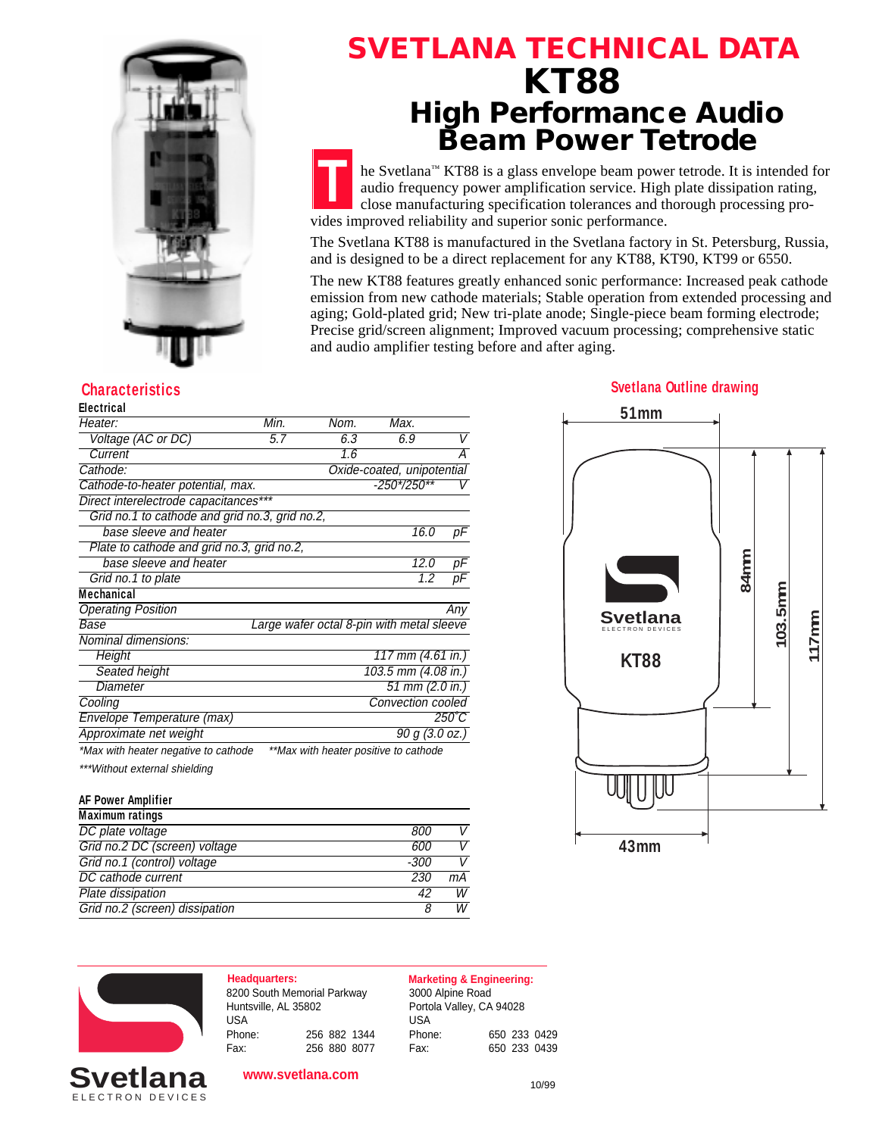

# **SVETLANA TECHNICAL DATA KT88 High Performance Audio Beam Power Tetrode**

**T** he Svetlana™ KT88 is a glass envelope beam power tetrode. It is intended for audio frequency power amplification service. High plate dissipation rating, close manufacturing specification tolerances and thorough processing provides improved reliability and superior sonic performance.

The Svetlana KT88 is manufactured in the Svetlana factory in St. Petersburg, Russia, and is designed to be a direct replacement for any KT88, KT90, KT99 or 6550.

The new KT88 features greatly enhanced sonic performance: Increased peak cathode emission from new cathode materials; Stable operation from extended processing and aging; Gold-plated grid; New tri-plate anode; Single-piece beam forming electrode; Precise grid/screen alignment; Improved vacuum processing; comprehensive static and audio amplifier testing before and after aging.

#### **Electrical**

| Heater:                                        | Min. | Nom. | Max.                                      |                 |
|------------------------------------------------|------|------|-------------------------------------------|-----------------|
| Voltage (AC or DC)                             | 5.7  | 6.3  | 6.9                                       | V               |
| Current                                        |      | 1.6  |                                           | А               |
| Cathode:                                       |      |      | Oxide-coated, unipotential                |                 |
| Cathode-to-heater potential, max.              |      |      | -250*/250**                               |                 |
| Direct interelectrode capacitances***          |      |      |                                           |                 |
| Grid no.1 to cathode and grid no.3, grid no.2, |      |      |                                           |                 |
| base sleeve and heater                         |      |      | 16.0                                      | рF              |
| Plate to cathode and grid no.3, grid no.2,     |      |      |                                           |                 |
| base sleeve and heater                         |      |      | 12.0                                      | рF              |
| Grid no.1 to plate                             |      |      | 1.2                                       | рF              |
| Mechanical                                     |      |      |                                           |                 |
| <b>Operating Position</b>                      |      |      |                                           | Any             |
| Base                                           |      |      | Large wafer octal 8-pin with metal sleeve |                 |
| Nominal dimensions:                            |      |      |                                           |                 |
| Height                                         |      |      | 117 mm (4.61 in.)                         |                 |
| Seated height                                  |      |      | 103.5 mm (4.08 in.)                       |                 |
| Diameter                                       |      |      | 51 mm (2.0 in.)                           |                 |
| Cooling                                        |      |      | Convection cooled                         |                 |
| Envelope Temperature (max)                     |      |      |                                           | $250^{\circ}$ C |
| Approximate net weight                         |      |      | 90 g (3.0 oz.)                            |                 |
| *Max with heater negative to cathode           |      |      | **Max with heater positive to cathode     |                 |
| ***Without external shielding                  |      |      |                                           |                 |

#### **AF Power Amplifier**

| <b>Maximum ratings</b>         |      |    |
|--------------------------------|------|----|
| DC plate voltage               | 800  | V  |
| Grid no.2 DC (screen) voltage  | 600  | V  |
| Grid no.1 (control) voltage    | -300 | V  |
| DC cathode current             | 230  | mА |
| Plate dissipation              | 42   | W  |
| Grid no.2 (screen) dissipation |      | W  |
|                                |      |    |

# **KT88** ELECTRON DEVICES **Svetlana 51mm 84mm 103.5mm 117mm**

**43mm**



### ELECTRON DEVICES **Svetlan**

#### **www.svetlana.com**

Fax: 256 880 8077

8200 South Memorial Parkway Huntsville, AL 35802

USA<br>Phone:

**Headquarters: Marketing & Engineering:**

Phone: 256 882 1344

3000 Alpine Road Portola Valley, CA 94028

USA<br>Phone: Phone: 650 233 0429 Fax: 650 233 0439

#### 10/99

#### **Characteristics Svetlana Outline drawing**